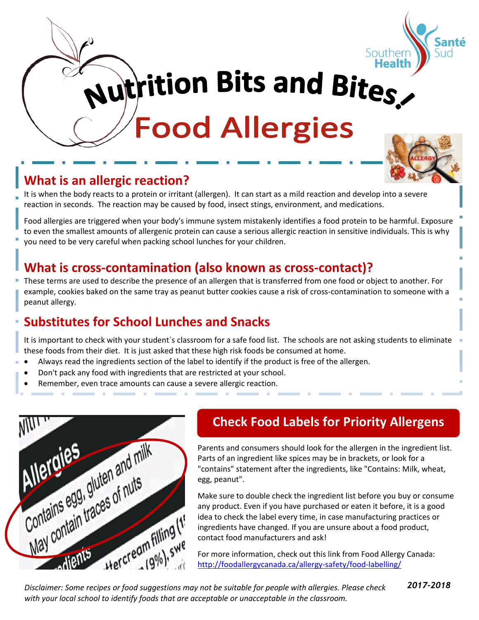

**Autrition Bits and Bites,** 

**Food Allergies** 

# **What is an allergic reaction?**

It is when the body reacts to a protein or irritant (allergen). It can start as a mild reaction and develop into a severe reaction in seconds. The reaction may be caused by food, insect stings, environment, and medications.

Food allergies are triggered when your body's immune system mistakenly identifies a food protein to be harmful. Exposure to even the smallest amounts of allergenic protein can cause a serious allergic reaction in sensitive individuals. This is why you need to be very careful when packing school lunches for your children.

## **What is cross-contamination (also known as cross-contact)?**

These terms are used to describe the presence of an allergen that is transferred from one food or object to another. For example, cookies baked on the same tray as peanut butter cookies cause a risk of cross-contamination to someone with a peanut allergy.

# **Substitutes for School Lunches and Snacks**

It is important to check with your student`s classroom for a safe food list. The schools are not asking students to eliminate these foods from their diet. It is just asked that these high risk foods be consumed at home.

- Always read the ingredients section of the label to identify if the product is free of the allergen.
- Don't pack any food with ingredients that are restricted at your school.
- Remember, even trace amounts can cause a severe allergic reaction.



#### **Check Food Labels for Priority Allergens**

Parents and consumers should look for the allergen in the ingredient list. Parts of an ingredient like spices may be in brackets, or look for a "contains" statement after the ingredients, like "Contains: Milk, wheat, egg, peanut".

Make sure to double check the ingredient list before you buy or consume any product. Even if you have purchased or eaten it before, it is a good idea to check the label every time, in case manufacturing practices or ingredients have changed. If you are unsure about a food product, contact food manufacturers and ask!

For more information, check out this link from Food Allergy Canada: <http://foodallergycanada.ca/allergy-safety/food-labelling/>

*Disclaimer: Some recipes or food suggestions may not be suitable for people with allergies. Please check with your local school to identify foods that are acceptable or unacceptable in the classroom.*